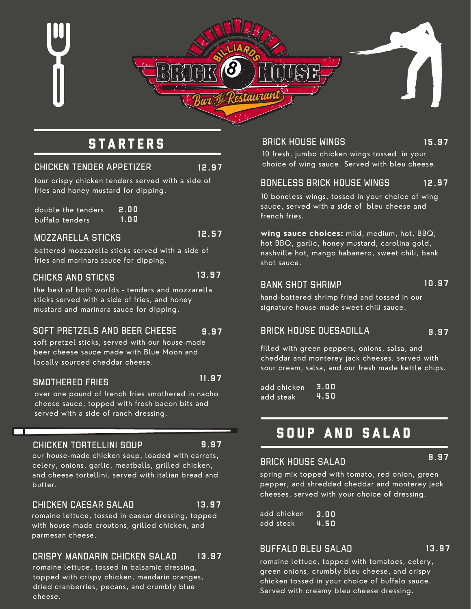

## **STARTERS**

#### CHICKEN TENDER APPETIZER 12.97

four crispy chicken tenders served with a side of fries and honey mustard for dipping.

double the tenders buffalo tenders 2 . 0 0 1 . 0 0

#### MOZZARELLA STICKS

battered mozzarella sticks served with a side of fries and marinara sauce for dipping.

#### CHICKS AND STICKS

13.97

12.57

the best of both worlds - tenders and mozzarella sticks served with a side of fries, and honey mustard and marinara sauce for dipping.

#### SOFT PRETZELS AND BEER CHEESE 9 . 9 7

soft pretzel sticks, served with our house-made beer cheese sauce made with Blue Moon and locally sourced cheddar cheese.

#### SMOTHERED FRIES

over one pound of french fries smothered in nacho cheese sauce, topped with fresh bacon bits and served with a side of ranch dressing.

#### CHICKEN TORTELLINI SOUP

9 . 9 7

 $13.97$ 

 $11.97$ 

our house-made chicken soup, loaded with carrots, celery, onions, garlic, meatballs, grilled chicken, and cheese tortellini. served with italian bread and butter.

#### CHICKEN CAESAR SALAD

romaine lettuce, tossed in caesar dressing, topped with house-made croutons, grilled chicken, and parmesan cheese.

#### CRISPY MANDARIN CHICKEN SALAD 13.97

romaine lettuce, tossed in balsamic dressing, topped with crispy chicken, mandarin oranges, dried cranberries, pecans, and crumbly blue cheese.

BRICK HOUSE WINGS

15.97

10 fresh, jumbo chicken wings tossed in your choice of wing sauce. Served with bleu cheese.

#### BONELESS BRICK HOUSE WINGS 12.97

10 boneless wings, tossed in your choice of wing sauce, served with a side of bleu cheese and french fries.

**wing sauce choices:** mild, medium, hot, BBQ, hot BBQ, garlic, honey mustard, carolina gold, nashville hot, mango habanero, sweet chili, bank shot sauce.

## BANK SHOT SHRIMP

#### 10.97

9 . 9 7

hand-battered shrimp fried and tossed in our signature house-made sweet chili sauce.

### BRICK HOUSE QUESADILLA

filled with green peppers, onions, salsa, and cheddar and monterey jack cheeses. served with sour cream, salsa, and our fresh made kettle chips.

add chicken add steak 3 . 0 0 4 . 5 0

## SOUP AND SALAD

#### 9 . 9 7

spring mix topped with tomato, red onion, green pepper, and shredded cheddar and monterey jack cheeses, served with your choice of dressing.

add chicken add steak 3 . 0 0 4 . 5 0

BRICK HOUSE SALAD

#### BUFFALO BLEU SALAD 13.97

romaine lettuce, topped with tomatoes, celery, green onions, crumbly bleu cheese, and crispy chicken tossed in your choice of buffalo sauce. Served with creamy bleu cheese dressing.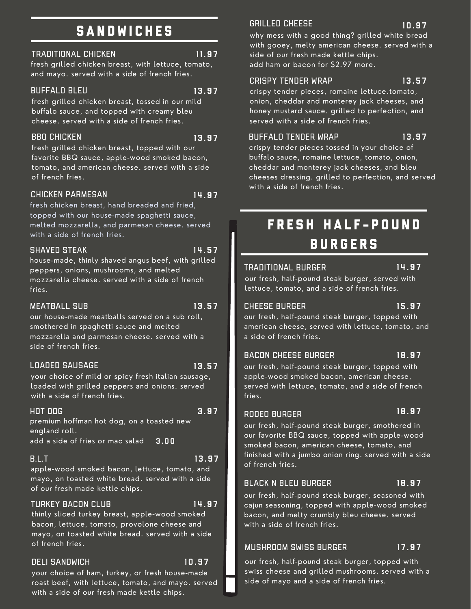## SANDWICHES

#### TRADITIONAL CHICKEN 11.97

#### fresh grilled chicken breast, with lettuce, tomato, and mayo. served with a side of french fries.

#### BUFFALO BLEU 13.97

fresh grilled chicken breast, tossed in our mild buffalo sauce, and topped with creamy bleu cheese. served with a side of french fries.

### BBQ CHICKEN

fresh grilled chicken breast, topped with our favorite BBQ sauce, apple-wood smoked bacon, tomato, and american cheese. served with a side of french fries.

#### CHICKEN PARMESAN

14.97

14.57

 $13.97$ 

fresh chicken breast, hand breaded and fried, topped with our house-made spaghetti sauce, melted mozzarella, and parmesan cheese. served with a side of french fries.

#### SHAVED STEAK

house-made, thinly shaved angus beef, with grilled peppers, onions, mushrooms, and melted mozzarella cheese. served with a side of french fries.

#### MEATBALL SUB

13.57

 $13.57$ 

 $13.97$ 

our house-made meatballs served on a sub roll, smothered in spaghetti sauce and melted mozzarella and parmesan cheese. served with a side of french fries.

### LOADED SAUSAGE

your choice of mild or spicy fresh italian sausage, loaded with grilled peppers and onions. served with a side of french fries.

#### HOT DOG 3 . 9 7

premium hoffman hot dog, on a toasted new england roll.

add a side of fries or mac salad 3 . 0 0

#### B.L.T

apple-wood smoked bacon, lettuce, tomato, and mayo, on toasted white bread. served with a side of our fresh made kettle chips.

### TURKEY BACON CLUB 14.97

 $10.97$ 

thinly sliced turkey breast, apple-wood smoked bacon, lettuce, tomato, provolone cheese and mayo, on toasted white bread. served with a side of french fries.

#### DELI SANDWICH

your choice of ham, turkey, or fresh house-made roast beef, with lettuce, tomato, and mayo. served with a side of our fresh made kettle chips.

#### GRILLED CHEESE

why mess with a good thing? grilled white bread with gooey, melty american cheese. served with a side of our fresh made kettle chips. add ham or bacon for \$2.97 more.

#### CRISPY TENDER WRAP

crispy tender pieces, romaine lettuce.tomato, onion, cheddar and monterey jack cheeses, and honey mustard sauce. grilled to perfection, and served with a side of french fries.

#### BUFFALO TENDER WRAP

crispy tender pieces tossed in your choice of buffalo sauce, romaine lettuce, tomato, onion, cheddar and monterey jack cheeses, and bleu cheeses dressing. grilled to perfection, and served with a side of french fries.

## FRESH HALF-POUND **BURGERS**

#### TRADITIONAL BURGER

14.97

our fresh, half-pound steak burger, served with lettuce, tomato, and a side of french fries.

### CHEESE BURGER

#### $15.97$

our fresh, half-pound steak burger, topped with american cheese, served with lettuce, tomato, and a side of french fries.

#### BACON CHEESE BURGER

our fresh, half-pound steak burger, topped with apple-wood smoked bacon, american cheese, served with lettuce, tomato, and a side of french 18.97

#### RODEO BURGER

fries.

18.97

18.97

our fresh, half-pound steak burger, smothered in our favorite BBQ sauce, topped with apple-wood smoked bacon, american cheese, tomato, and finished with a jumbo onion ring. served with a side of french fries.

### BLACK N BLEU BURGER

our fresh, half-pound steak burger, seasoned with cajun seasoning, topped with apple-wood smoked bacon, and melty crumbly bleu cheese. served with a side of french fries.

#### MUSHROOM SWISS BURGER  $17.97$

our fresh, half-pound steak burger, topped with swiss cheese and grilled mushrooms. served with a side of mayo and a side of french fries.

#### 10.97

13.57

13.97